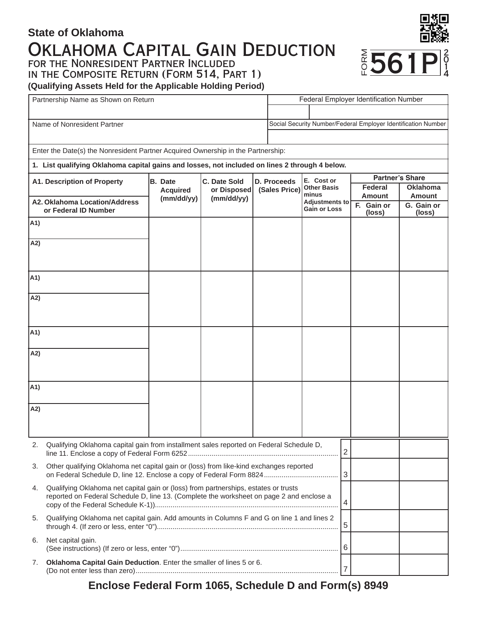# Oklahoma Capital Gain Deduction **State of Oklahoma** for the Nonresident Partner Included in the Composite Return (Form 514, Part 1)



**(Qualifying Assets Held for the Applicable Holding Period)**

|                                                                                                | Partnership Name as Shown on Return                                                                                                                                                  |                 |              |  |                                              | Federal Employer Identification Number                        |  |                          |                                  |  |  |
|------------------------------------------------------------------------------------------------|--------------------------------------------------------------------------------------------------------------------------------------------------------------------------------------|-----------------|--------------|--|----------------------------------------------|---------------------------------------------------------------|--|--------------------------|----------------------------------|--|--|
|                                                                                                |                                                                                                                                                                                      |                 |              |  |                                              |                                                               |  |                          |                                  |  |  |
|                                                                                                | Name of Nonresident Partner                                                                                                                                                          |                 |              |  |                                              | Social Security Number/Federal Employer Identification Number |  |                          |                                  |  |  |
|                                                                                                |                                                                                                                                                                                      |                 |              |  |                                              |                                                               |  |                          |                                  |  |  |
| Enter the Date(s) the Nonresident Partner Acquired Ownership in the Partnership:               |                                                                                                                                                                                      |                 |              |  |                                              |                                                               |  |                          |                                  |  |  |
| 1. List qualifying Oklahoma capital gains and losses, not included on lines 2 through 4 below. |                                                                                                                                                                                      |                 |              |  |                                              |                                                               |  |                          |                                  |  |  |
|                                                                                                | A1. Description of Property                                                                                                                                                          | B. Date         | C. Date Sold |  | D. Proceeds                                  | E. Cost or                                                    |  | <b>Partner's Share</b>   |                                  |  |  |
|                                                                                                |                                                                                                                                                                                      | <b>Acquired</b> | or Disposed  |  | (Sales Price)                                | <b>Other Basis</b><br>minus                                   |  | Federal<br><b>Amount</b> | <b>Oklahoma</b><br><b>Amount</b> |  |  |
|                                                                                                | A2. Oklahoma Location/Address<br>or Federal ID Number                                                                                                                                | (mm/dd/yy)      | (mm/dd/yy)   |  | <b>Adjustments to</b><br><b>Gain or Loss</b> |                                                               |  | F. Gain or<br>(loss)     | G. Gain or<br>(loss)             |  |  |
| A1)                                                                                            |                                                                                                                                                                                      |                 |              |  |                                              |                                                               |  |                          |                                  |  |  |
| A2)                                                                                            |                                                                                                                                                                                      |                 |              |  |                                              |                                                               |  |                          |                                  |  |  |
|                                                                                                |                                                                                                                                                                                      |                 |              |  |                                              |                                                               |  |                          |                                  |  |  |
| A1)                                                                                            |                                                                                                                                                                                      |                 |              |  |                                              |                                                               |  |                          |                                  |  |  |
| A2)                                                                                            |                                                                                                                                                                                      |                 |              |  |                                              |                                                               |  |                          |                                  |  |  |
|                                                                                                |                                                                                                                                                                                      |                 |              |  |                                              |                                                               |  |                          |                                  |  |  |
|                                                                                                |                                                                                                                                                                                      |                 |              |  |                                              |                                                               |  |                          |                                  |  |  |
| A1)                                                                                            |                                                                                                                                                                                      |                 |              |  |                                              |                                                               |  |                          |                                  |  |  |
| A2)                                                                                            |                                                                                                                                                                                      |                 |              |  |                                              |                                                               |  |                          |                                  |  |  |
|                                                                                                |                                                                                                                                                                                      |                 |              |  |                                              |                                                               |  |                          |                                  |  |  |
|                                                                                                |                                                                                                                                                                                      |                 |              |  |                                              |                                                               |  |                          |                                  |  |  |
| A1)                                                                                            |                                                                                                                                                                                      |                 |              |  |                                              |                                                               |  |                          |                                  |  |  |
| A2)                                                                                            |                                                                                                                                                                                      |                 |              |  |                                              |                                                               |  |                          |                                  |  |  |
|                                                                                                |                                                                                                                                                                                      |                 |              |  |                                              |                                                               |  |                          |                                  |  |  |
|                                                                                                |                                                                                                                                                                                      |                 |              |  |                                              |                                                               |  |                          |                                  |  |  |
|                                                                                                | Qualifying Oklahoma capital gain from installment sales reported on Federal Schedule D,<br> 2                                                                                        |                 |              |  |                                              |                                                               |  |                          |                                  |  |  |
| 3.                                                                                             | Other qualifying Oklahoma net capital gain or (loss) from like-kind exchanges reported                                                                                               |                 |              |  |                                              |                                                               |  |                          |                                  |  |  |
| 4.                                                                                             | Qualifying Oklahoma net capital gain or (loss) from partnerships, estates or trusts<br>reported on Federal Schedule D, line 13. (Complete the worksheet on page 2 and enclose a<br>4 |                 |              |  |                                              |                                                               |  |                          |                                  |  |  |
| 5.                                                                                             | Qualifying Oklahoma net capital gain. Add amounts in Columns F and G on line 1 and lines 2<br>5                                                                                      |                 |              |  |                                              |                                                               |  |                          |                                  |  |  |
| 6.                                                                                             | Net capital gain.                                                                                                                                                                    |                 |              |  |                                              |                                                               |  |                          |                                  |  |  |
| 7.                                                                                             | Oklahoma Capital Gain Deduction. Enter the smaller of lines 5 or 6.<br>$\overline{7}$                                                                                                |                 |              |  |                                              |                                                               |  |                          |                                  |  |  |

**Enclose Federal Form 1065, Schedule D and Form(s) 8949**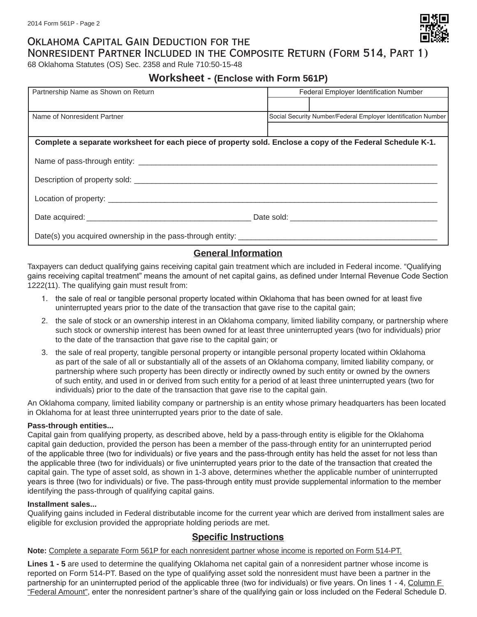## Oklahoma Capital Gain Deduction for the Nonresident Partner Included in the Composite Return (Form 514, Part 1)

68 Oklahoma Statutes (OS) Sec. 2358 and Rule 710:50-15-48

## **Worksheet - (Enclose with Form 561P)**

| Partnership Name as Shown on Return                                                                        | Federal Employer Identification Number                        |  |  |  |  |  |  |
|------------------------------------------------------------------------------------------------------------|---------------------------------------------------------------|--|--|--|--|--|--|
|                                                                                                            |                                                               |  |  |  |  |  |  |
| Name of Nonresident Partner                                                                                | Social Security Number/Federal Employer Identification Number |  |  |  |  |  |  |
|                                                                                                            |                                                               |  |  |  |  |  |  |
| Complete a separate worksheet for each piece of property sold. Enclose a copy of the Federal Schedule K-1. |                                                               |  |  |  |  |  |  |
|                                                                                                            |                                                               |  |  |  |  |  |  |
|                                                                                                            |                                                               |  |  |  |  |  |  |
|                                                                                                            |                                                               |  |  |  |  |  |  |
|                                                                                                            |                                                               |  |  |  |  |  |  |
|                                                                                                            |                                                               |  |  |  |  |  |  |

## **General Information**

Taxpayers can deduct qualifying gains receiving capital gain treatment which are included in Federal income. "Qualifying gains receiving capital treatment" means the amount of net capital gains, as defined under Internal Revenue Code Section 1222(11). The qualifying gain must result from:

- 1. the sale of real or tangible personal property located within Oklahoma that has been owned for at least five uninterrupted years prior to the date of the transaction that gave rise to the capital gain;
- 2. the sale of stock or an ownership interest in an Oklahoma company, limited liability company, or partnership where such stock or ownership interest has been owned for at least three uninterrupted years (two for individuals) prior to the date of the transaction that gave rise to the capital gain; or
- 3. the sale of real property, tangible personal property or intangible personal property located within Oklahoma as part of the sale of all or substantially all of the assets of an Oklahoma company, limited liability company, or partnership where such property has been directly or indirectly owned by such entity or owned by the owners of such entity, and used in or derived from such entity for a period of at least three uninterrupted years (two for individuals) prior to the date of the transaction that gave rise to the capital gain.

An Oklahoma company, limited liability company or partnership is an entity whose primary headquarters has been located in Oklahoma for at least three uninterrupted years prior to the date of sale.

## **Pass-through entities...**

Capital gain from qualifying property, as described above, held by a pass-through entity is eligible for the Oklahoma capital gain deduction, provided the person has been a member of the pass-through entity for an uninterrupted period of the applicable three (two for individuals) or five years and the pass-through entity has held the asset for not less than the applicable three (two for individuals) or five uninterrupted years prior to the date of the transaction that created the capital gain. The type of asset sold, as shown in 1-3 above, determines whether the applicable number of uninterrupted years is three (two for individuals) or five. The pass-through entity must provide supplemental information to the member identifying the pass-through of qualifying capital gains.

### **Installment sales...**

Qualifying gains included in Federal distributable income for the current year which are derived from installment sales are eligible for exclusion provided the appropriate holding periods are met.

## **Specific Instructions**

**Note:** Complete a separate Form 561P for each nonresident partner whose income is reported on Form 514-PT.

**Lines 1 - 5** are used to determine the qualifying Oklahoma net capital gain of a nonresident partner whose income is reported on Form 514-PT. Based on the type of qualifying asset sold the nonresident must have been a partner in the partnership for an uninterrupted period of the applicable three (two for individuals) or five years. On lines 1 - 4, Column F "Federal Amount", enter the nonresident partner's share of the qualifying gain or loss included on the Federal Schedule D.